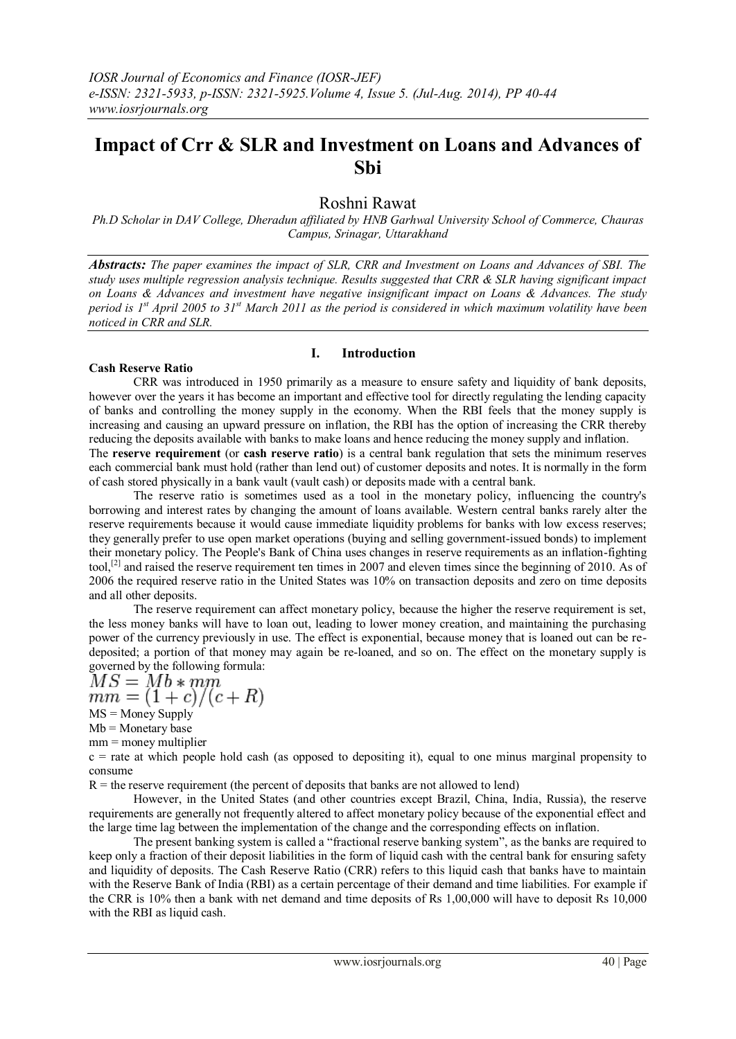# **Impact of Crr & SLR and Investment on Loans and Advances of Sbi**

# Roshni Rawat

*Ph.D Scholar in DAV College, Dheradun affiliated by HNB Garhwal University School of Commerce, Chauras Campus, Srinagar, Uttarakhand*

*Abstracts: The paper examines the impact of SLR, CRR and Investment on Loans and Advances of SBI. The study uses multiple regression analysis technique. Results suggested that CRR & SLR having significant impact on Loans & Advances and investment have negative insignificant impact on Loans & Advances. The study period is 1st April 2005 to 31st March 2011 as the period is considered in which maximum volatility have been noticed in CRR and SLR.*

# **I. Introduction**

# **Cash Reserve Ratio**

CRR was introduced in 1950 primarily as a measure to ensure safety and liquidity of bank deposits, however over the years it has become an important and effective tool for directly regulating the lending capacity of banks and controlling the money supply in the economy. When the RBI feels that the money supply is increasing and causing an upward pressure on inflation, the RBI has the option of increasing the CRR thereby reducing the deposits available with banks to make loans and hence reducing the money supply and inflation. The **reserve requirement** (or **cash reserve ratio**) is a [central bank](http://en.wikipedia.org/wiki/Central_bank) regulation that sets the minimum [reserves](http://en.wikipedia.org/wiki/Bank_reserves) each [commercial bank](http://en.wikipedia.org/wiki/Commercial_bank) must hold (rather than lend out) of customer [deposits](http://en.wikipedia.org/wiki/Deposit_account) an[d notes.](http://en.wikipedia.org/wiki/Promissory_note) It is normally in the form of [cash](http://en.wikipedia.org/wiki/Currency) stored physically in a [bank vault](http://en.wikipedia.org/wiki/Bank_vault) (vault cash) or deposits made with a [central bank.](http://en.wikipedia.org/wiki/Central_bank)

The reserve ratio is sometimes used as a tool in the [monetary policy,](http://en.wikipedia.org/wiki/Monetary_policy) influencing the country's borrowing and [interest rates](http://en.wikipedia.org/wiki/Interest_rate) by changing the amount of loans available. Western central banks rarely alter the reserve requirements because it would cause immediate liquidity problems for banks with low [excess reserves;](http://en.wikipedia.org/wiki/Excess_reserves) they generally prefer to use [open market operations](http://en.wikipedia.org/wiki/Open_market_operation) (buying and selling government-issued [bonds\)](http://en.wikipedia.org/wiki/Bonds) to implement their monetary policy. The [People's Bank of China](http://en.wikipedia.org/wiki/People%27s_Bank_of_China) uses changes in reserve requirements as an inflation-fighting tool,<sup>[\[2\]](http://en.wikipedia.org/wiki/Reserve_requirement#cite_note-1)</sup> and raised the reserve requirement ten times in 2007 and eleven times since the beginning of 2010. As of 2006 the required reserve ratio in the United States was 10% on [transaction deposits](http://en.wikipedia.org/wiki/Transaction_deposit) and zero on [time deposits](http://en.wikipedia.org/wiki/Time_deposit) and all other deposits.

The reserve requirement can affect monetary policy, because the higher the reserve requirement is set, the less money banks will have to loan out, leading to lower money creation, and maintaining the purchasing power of the currency previously in use. The effect is exponential, because money that is loaned out can be redeposited; a portion of that money may again be re-loaned, and so on. The effect on the monetary supply is

governed by the following formula:<br> $MS = Mb * mm$  $\overline{mm} = (1+c)/(c+R)$  $MS =$ [Money Supply](http://en.wikipedia.org/wiki/Money_Supply)

 $Mb = Monetary base$  $Mb = Monetary base$ 

 $mm =$  [money multiplier](http://en.wikipedia.org/wiki/Money_multiplier)

 $c =$  rate at which people hold cash (as opposed to depositing it), equal to one minus marginal propensity to [consume](http://en.wikipedia.org/wiki/Marginal_propensity_to_consume)

 $R =$  the reserve requirement (the percent of deposits that banks are not allowed to lend)

However, in the United States (and other countries except Brazil, China, India, Russia), the reserve requirements are generally not frequently altered to affect monetary policy because of the exponential effect and the large time lag between the implementation of the change and the corresponding effects on inflation.

The present banking system is called a "fractional reserve banking system", as the banks are required to keep only a fraction of their deposit liabilities in the form of liquid cash with the central bank for ensuring safety and liquidity of deposits. The Cash Reserve Ratio (CRR) refers to this liquid cash that banks have to maintain with the Reserve Bank of India (RBI) as a certain percentage of their demand and time liabilities. For example if the CRR is 10% then a bank with net demand and time deposits of Rs 1,00,000 will have to deposit Rs 10,000 with the RBI as liquid cash.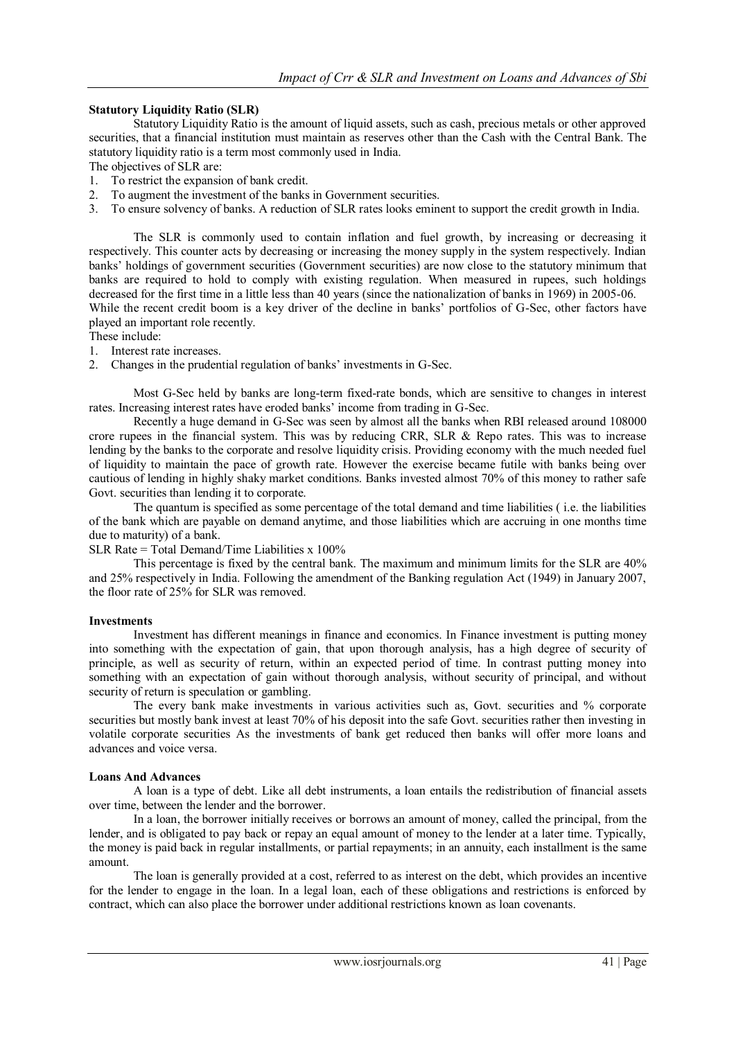# **Statutory Liquidity Ratio (SLR)**

Statutory Liquidity Ratio is the amount of liquid assets, such as cash, precious metals or other approved securities, that a financial institution must maintain as reserves other than the Cash with the Central Bank. The statutory liquidity ratio is a term most commonly used in India.

The objectives of SLR are:

- 1. To restrict the expansion of bank credit.
- 2. To augment the investment of the banks in Government securities.
- 3. To ensure solvency of banks. A reduction of SLR rates looks eminent to support the credit growth in India.

The SLR is commonly used to contain [inflation](http://en.wikipedia.org/wiki/Inflation) and fuel growth, by increasing or decreasing it respectively. This counter acts by decreasing or increasing the money supply in the system respectively. Indian banks' holdings of government securities ([Government securities\)](http://en.wikipedia.org/w/index.php?title=G-Sec&action=edit&redlink=1) are now close to the statutory minimum that banks are required to hold to comply with existing regulation. When measured in rupees, such holdings decreased for the first time in a little less than 40 years (since the nationalization of banks in 1969) in 2005-06. While the recent credit boom is a key driver of the decline in banks' portfolios of G-Sec, other factors have played an important role recently.

These include:

- 1. Interest rate increases.
- 2. Changes in the prudential regulation of banks' investments in G-Sec.

Most G-Sec held by banks are long-term fixed-rate bonds, which are sensitive to changes in interest rates. Increasing interest rates have eroded banks' income from trading in G-Sec.

Recently a huge demand in G-Sec was seen by almost all the banks when RBI released around 108000 crore rupees in the financial system. This was by reducing CRR, SLR & Repo rates. This was to increase lending by the banks to the corporate and resolve [liquidity crisis.](http://en.wikipedia.org/wiki/Liquidity_crisis) Providing economy with the much needed fuel of liquidity to maintain the pace of growth rate. However the exercise became futile with banks being over cautious of lending in highly shaky market conditions. Banks invested almost 70% of this money to rather safe Govt. securities than lending it to corporate.

The quantum is specified as some percentage of the total demand and time liabilities ( i.e. the liabilities of the bank which are payable on demand anytime, and those liabilities which are accruing in one months time due to maturity) of a bank.

SLR Rate = Total Demand/Time Liabilities  $x$  100%

This percentage is fixed by the central bank. The maximum and minimum limits for the SLR are 40% and 25% respectively in India. Following the amendment of the Banking regulation Act (1949) in January 2007, the floor rate of 25% for SLR was removed.

#### **Investments**

Investment has different meanings in finance and economics. In Finance investment is putting money into something with the expectation of gain, that upon thorough analysis, has a high degree of security of principle, as well as security of return, within an expected period of time. In contrast putting money into something with an expectation of gain without thorough analysis, without security of principal, and without security of return i[s speculation](http://en.wikipedia.org/wiki/Speculation) or [gambling.](http://en.wikipedia.org/wiki/Gambling)

The every bank make investments in various activities such as, Govt. securities and % corporate securities but mostly bank invest at least 70% of his deposit into the safe Govt. securities rather then investing in volatile corporate securities As the investments of bank get reduced then banks will offer more loans and advances and voice versa.

#### **Loans And Advances**

A loan is a type of [debt.](http://en.wikipedia.org/wiki/Debt) Like all debt instruments, a loan entails the redistribution of financial [assets](http://en.wikipedia.org/wiki/Asset) over time, between th[e lender](http://en.wiktionary.org/wiki/lender) and th[e borrower.](http://en.wiktionary.org/wiki/borrower)

In a loan, the borrower initially receives or borrows an amount of [money,](http://en.wikipedia.org/wiki/Money) called the principal, from the lender, and is obligated to pay back or repay an equal amount of money to the lender at a later time. Typically, the money is paid back in regular installments, or partial repayments; in an [annuity,](http://en.wikipedia.org/wiki/Annuity_%28finance_theory%29) each installment is the same amount.

The loan is generally provided at a cost, referred to as [interest](http://en.wikipedia.org/wiki/Interest) on the [debt,](http://en.wikipedia.org/wiki/Debt) which provides an incentive for the lender to engage in the loan. In a legal loan, each of these obligations and restrictions is enforced by [contract,](http://en.wikipedia.org/wiki/Contract) which can also place the borrower under additional restrictions known as [loan covenants.](http://en.wikipedia.org/wiki/Loan_covenant)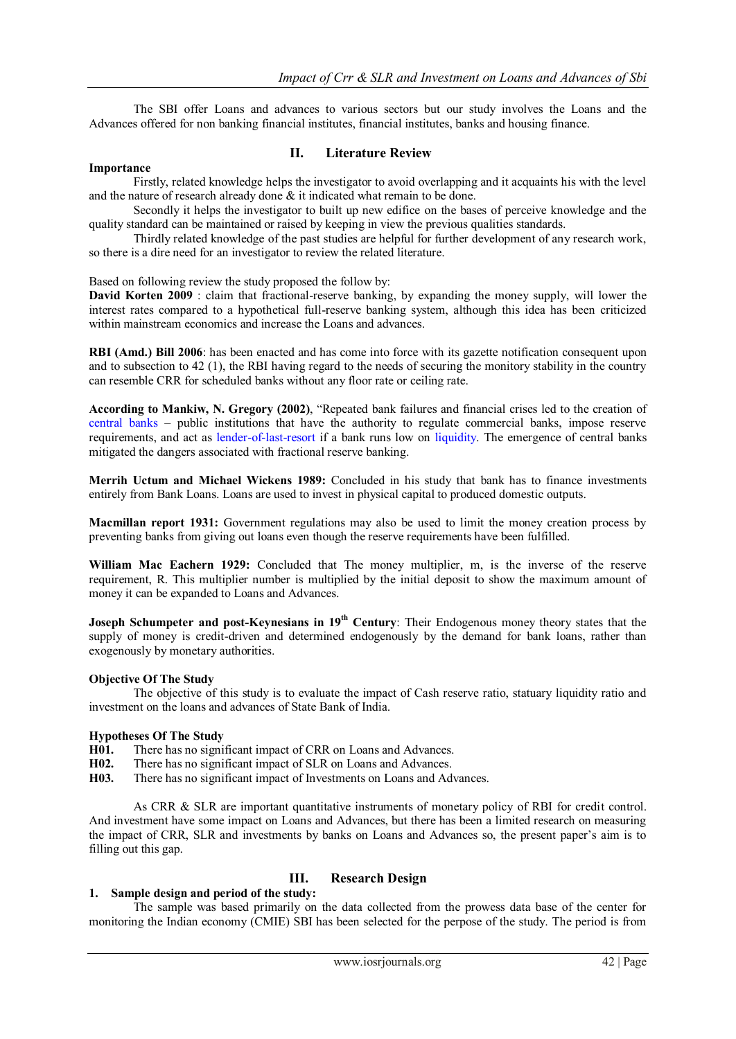The SBI offer Loans and advances to various sectors but our study involves the Loans and the Advances offered for non banking financial institutes, financial institutes, banks and housing finance.

#### **Importance**

# **II. Literature Review**

Firstly, related knowledge helps the investigator to avoid overlapping and it acquaints his with the level and the nature of research already done & it indicated what remain to be done.

Secondly it helps the investigator to built up new edifice on the bases of perceive knowledge and the quality standard can be maintained or raised by keeping in view the previous qualities standards.

Thirdly related knowledge of the past studies are helpful for further development of any research work, so there is a dire need for an investigator to review the related literature.

Based on following review the study proposed the follow by:

**[David Korten](http://en.wikipedia.org/wiki/David_Korten) 2009** : claim that fractional-reserve banking, by expanding the [money supply,](http://en.wikipedia.org/wiki/Money_supply) will lower the interest rates compared to a hypothetical full-reserve banking system, although this idea has been criticized within mainstream economics and increase the Loans and advances.

**RBI (Amd.) Bill 2006**: has been enacted and has come into force with its gazette notification consequent upon and to subsection to 42 (1), the RBI having regard to the needs of securing the monitory stability in the country can resemble CRR for scheduled banks without any floor rate or ceiling rate.

**According to Mankiw, N. Gregory (2002)**, "Repeated bank failures and financial crises led to the creation of [central banks](http://en.wikipedia.org/wiki/Central_banks) – public institutions that have the authority to regulate commercial banks, impose reserve requirements, and act as [lender-of-last-resort](http://en.wikipedia.org/wiki/Lender_of_last_resort) if a bank runs low on [liquidity.](http://en.wikipedia.org/wiki/Liquidity) The emergence of central banks mitigated the dangers associated with fractional reserve banking.

**Merrih Uctum and Michael Wickens 1989:** Concluded in his study that bank has to finance investments entirely from Bank Loans. Loans are used to invest in physical capital to produced domestic outputs.

**Macmillan report 1931:** Government regulations may also be used to limit the money creation process by preventing banks from giving out loans even though the reserve requirements have been fulfilled.

**William Mac Eachern 1929:** Concluded that The money multiplier, m, is the inverse of the reserve requirement, R. This multiplier number is multiplied by the initial deposit to show the maximum amount of money it can be expanded to Loans and Advances.

**[Joseph Schumpeter](http://en.wikipedia.org/wiki/Joseph_Schumpeter) and [post-Keynesians](http://en.wikipedia.org/wiki/Post-Keynesian) in 19<sup>th</sup> Century:** Their Endogenous money theory states that the supply of money is credit-driven and determined endogenously by the demand for bank loans, rather than exogenously by monetary authorities.

#### **Objective Of The Study**

The objective of this study is to evaluate the impact of Cash reserve ratio, statuary liquidity ratio and investment on the loans and advances of State Bank of India.

#### **Hypotheses Of The Study**

**H01.** There has no significant impact of CRR on Loans and Advances.<br>**H02.** There has no significant impact of SLR on Loans and Advances.

- There has no significant impact of SLR on Loans and Advances.
- **H03.** There has no significant impact of Investments on Loans and Advances.

As CRR & SLR are important quantitative instruments of monetary policy of RBI for credit control. And investment have some impact on Loans and Advances, but there has been a limited research on measuring the impact of CRR, SLR and investments by banks on Loans and Advances so, the present paper's aim is to filling out this gap.

# **III. Research Design**

#### **1. Sample design and period of the study:**

The sample was based primarily on the data collected from the prowess data base of the center for monitoring the Indian economy (CMIE) SBI has been selected for the perpose of the study. The period is from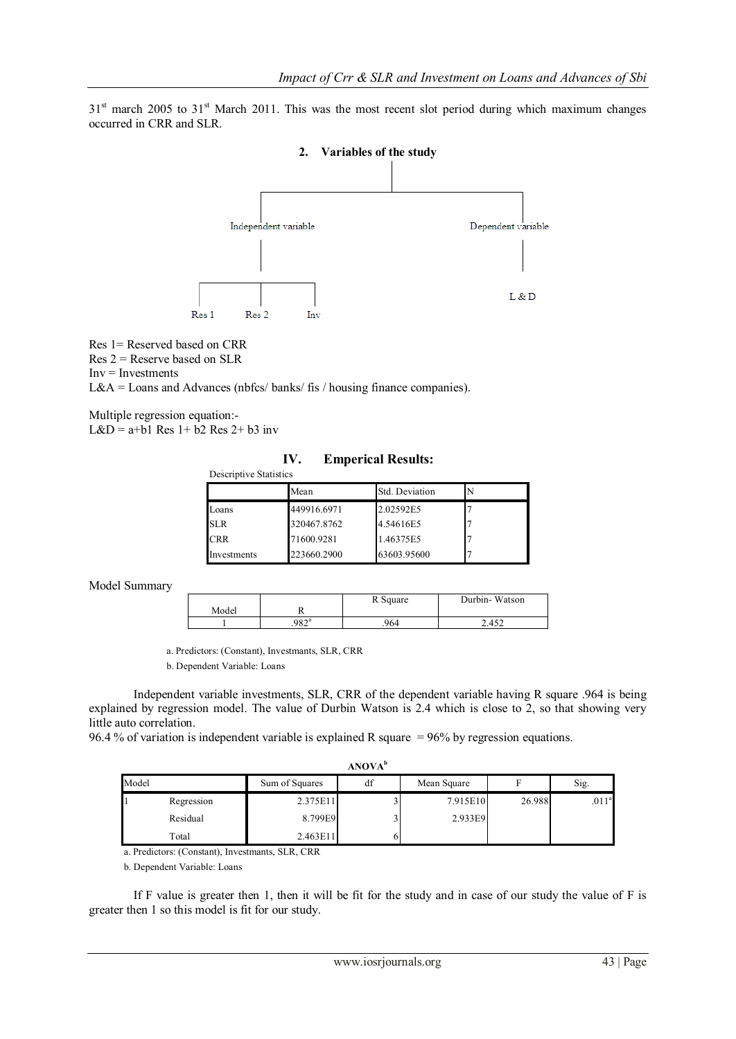$31<sup>st</sup>$  march 2005 to  $31<sup>st</sup>$  March 2011. This was the most recent slot period during which maximum changes occurred in CRR and SLR.



Res 1= Reserved based on CRR  $Res 2 = Reserve$  based on SLR

 $Inv = Investments$ 

 $L&A =$ Loans and Advances (nbfcs/ banks/ fis / housing finance companies).

Multiple regression equation:- L&D =  $a+b1$  Res  $1+b2$  Res  $2+b3$  inv

**IV. Emperical Results:**

| Descriptive Statist |  |
|---------------------|--|
|                     |  |

| Descriptive Statistics |             |                |  |  |  |
|------------------------|-------------|----------------|--|--|--|
|                        | Mean        | Std. Deviation |  |  |  |
| Loans                  | 449916.6971 | 2.02592E5      |  |  |  |
| <b>SLR</b>             | 320467.8762 | 4.54616E5      |  |  |  |
| <b>CRR</b>             | 71600.9281  | 1.46375E5      |  |  |  |
| Investments            | 223660.2900 | 63603.95600    |  |  |  |

Model Summary

|       |                | R Square | Durbin-Watson |
|-------|----------------|----------|---------------|
| Model |                |          |               |
|       | $.982^{\circ}$ | .964     | 2.452         |

a. Predictors: (Constant), Investmants, SLR, CRR

b. Dependent Variable: Loans

Independent variable investments, SLR, CRR of the dependent variable having R square .964 is being explained by regression model. The value of Durbin Watson is 2.4 which is close to 2, so that showing very little auto correlation.

96.4 % of variation is independent variable is explained R square = 96% by regression equations.

|       | <b>ANOVA</b> <sup>b</sup> |                |    |             |        |                   |
|-------|---------------------------|----------------|----|-------------|--------|-------------------|
| Model |                           | Sum of Squares | df | Mean Square |        | Sig.              |
|       | Regression                | 2.375E11       |    | 7.915E10    | 26.988 | .011 <sup>a</sup> |
|       | Residual                  | 8.799E9        |    | 2.933E9     |        |                   |
|       | Total                     | 2.463E11       |    |             |        |                   |

a. Predictors: (Constant), Investmants, SLR, CRR

b. Dependent Variable: Loans

If F value is greater then 1, then it will be fit for the study and in case of our study the value of F is greater then 1 so this model is fit for our study.